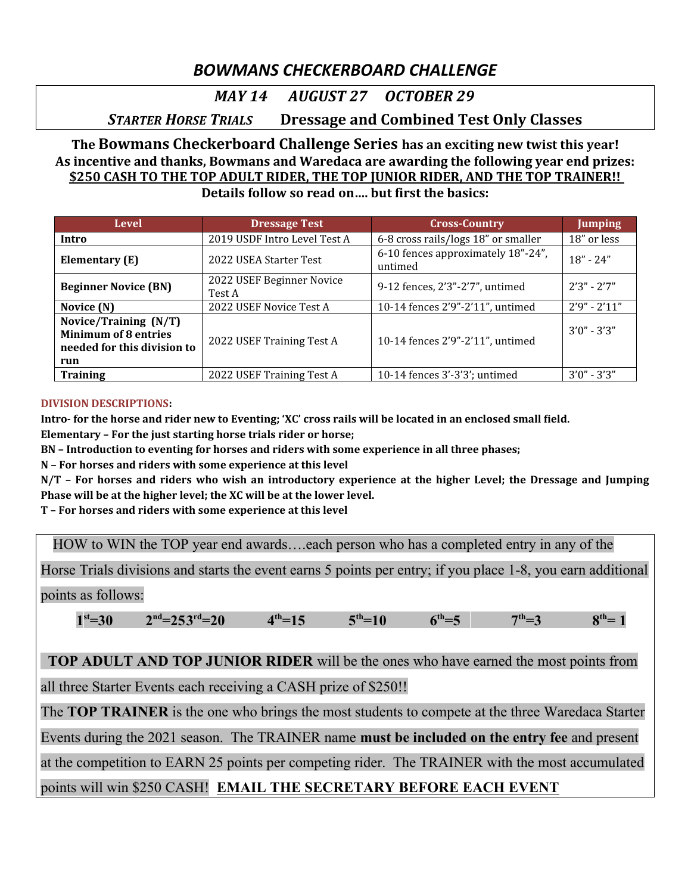# *BOWMANS CHECKERBOARD CHALLENGE*

## *MAY 14 AUGUST 27 OCTOBER 29*

# *STARTER HORSE TRIALS* **Dressage and Combined Test Only Classes**

#### **The Bowmans Checkerboard Challenge Series has an exciting new twist this year! As incentive and thanks, Bowmans and Waredaca are awarding the following year end prizes: \$250 CASH TO THE TOP ADULT RIDER, THE TOP JUNIOR RIDER, AND THE TOP TRAINER!! Details follow so read on…. but first the basics:**

| Level                                                                                                                   | <b>Dressage Test</b>                | <b>Cross-Country</b>                          | <b>Jumping</b>   |
|-------------------------------------------------------------------------------------------------------------------------|-------------------------------------|-----------------------------------------------|------------------|
| Intro                                                                                                                   | 2019 USDF Intro Level Test A        | 6-8 cross rails/logs 18" or smaller           | 18" or less      |
| Elementary (E)                                                                                                          | 2022 USEA Starter Test              | 6-10 fences approximately 18"-24",<br>untimed | $18" - 24"$      |
| <b>Beginner Novice (BN)</b>                                                                                             | 2022 USEF Beginner Novice<br>Test A | 9-12 fences, 2'3"-2'7", untimed               | $2'3'' - 2'7''$  |
| Novice (N)                                                                                                              | 2022 USEF Novice Test A             | 10-14 fences 2'9"-2'11", untimed              | $2'9'' - 2'11''$ |
| Novice/Training (N/T)<br><b>Minimum of 8 entries</b><br>2022 USEF Training Test A<br>needed for this division to<br>run |                                     | 10-14 fences 2'9"-2'11", untimed              | $3'0'' - 3'3''$  |
| <b>Training</b>                                                                                                         | 2022 USEF Training Test A           | 10-14 fences 3'-3'3'; untimed                 | $3'0'' - 3'3''$  |

#### **DIVISION DESCRIPTIONS:**

**Intro- for the horse and rider new to Eventing; 'XC' cross rails will be located in an enclosed small field.** 

**Elementary – For the just starting horse trials rider or horse;** 

**BN – Introduction to eventing for horses and riders with some experience in all three phases;** 

**N – For horses and riders with some experience at this level**

**N/T – For horses and riders who wish an introductory experience at the higher Level; the Dressage and Jumping Phase will be at the higher level; the XC will be at the lower level.** 

**T – For horses and riders with some experience at this level**

HOW to WIN the TOP year end awards….each person who has a completed entry in any of the

Horse Trials divisions and starts the event earns 5 points per entry; if you place 1-8, you earn additional

points as follows:

 $1<sup>st</sup>=30$  2 **nd=253 rd=20 4**  $4^{th} = 15$  $5^{th} = 10$  $f_{\text{th}} = 5$  $7<sup>th</sup>=3$  $R^{th} = 1$ 

 **TOP ADULT AND TOP JUNIOR RIDER** will be the ones who have earned the most points from

all three Starter Events each receiving a CASH prize of \$250!!

The **TOP TRAINER** is the one who brings the most students to compete at the three Waredaca Starter

Events during the 2021 season. The TRAINER name **must be included on the entry fee** and present

at the competition to EARN 25 points per competing rider. The TRAINER with the most accumulated

## points will win \$250 CASH! **EMAIL THE SECRETARY BEFORE EACH EVENT**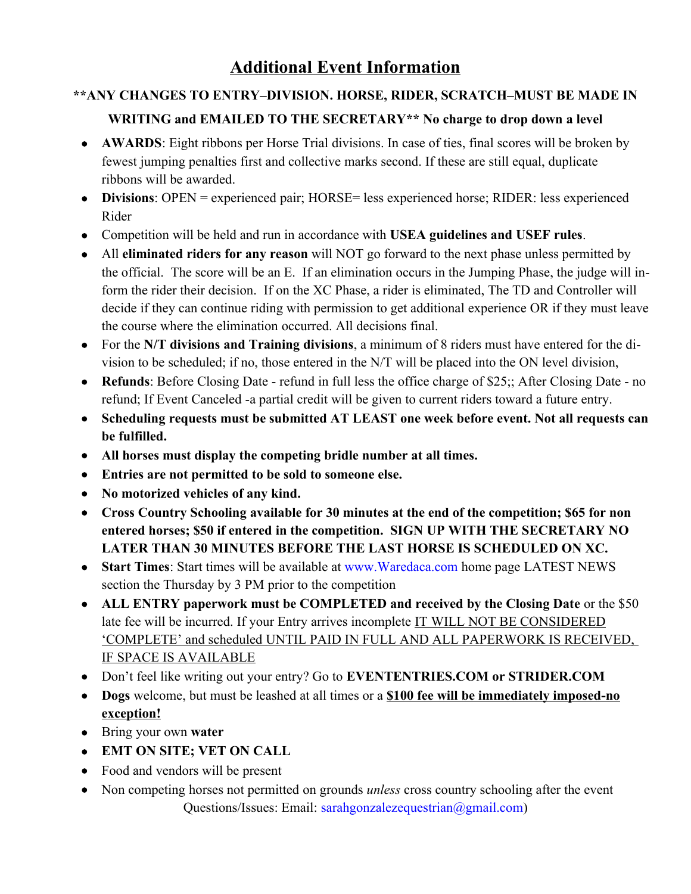# **\*\*ANY CHANGES TO ENTRY–DIVISION. HORSE, RIDER, SCRATCH–MUST BE MADE IN**

### **WRITING and EMAILED TO THE SECRETARY\*\* No charge to drop down a level**

- **AWARDS**: Eight ribbons per Horse Trial divisions. In case of ties, final scores will be broken by fewest jumping penalties first and collective marks second. If these are still equal, duplicate ribbons will be awarded.
- **Divisions**: OPEN = experienced pair; HORSE= less experienced horse; RIDER: less experienced Rider
- Competition will be held and run in accordance with **USEA guidelines and USEF rules**.
- All **eliminated riders for any reason** will NOT go forward to the next phase unless permitted by the official. The score will be an E. If an elimination occurs in the Jumping Phase, the judge will inform the rider their decision. If on the XC Phase, a rider is eliminated, The TD and Controller will decide if they can continue riding with permission to get additional experience OR if they must leave the course where the elimination occurred. All decisions final.
- For the **N/T divisions and Training divisions**, a minimum of 8 riders must have entered for the division to be scheduled; if no, those entered in the N/T will be placed into the ON level division,
- **Refunds**: Before Closing Date refund in full less the office charge of \$25;; After Closing Date no refund; If Event Canceled -a partial credit will be given to current riders toward a future entry.
- **Scheduling requests must be submitted AT LEAST one week before event. Not all requests can be fulfilled.**
- **All horses must display the competing bridle number at all times.**
- **Entries are not permitted to be sold to someone else.**
- **No motorized vehicles of any kind.**
- **Cross Country Schooling available for 30 minutes at the end of the competition; \$65 for non entered horses; \$50 if entered in the competition. SIGN UP WITH THE SECRETARY NO LATER THAN 30 MINUTES BEFORE THE LAST HORSE IS SCHEDULED ON XC.**
- **Start Times**: Start times will be available at www.Waredaca.com home page LATEST NEWS section the Thursday by 3 PM prior to the competition
- **ALL ENTRY paperwork must be COMPLETED and received by the Closing Date** or the \$50 late fee will be incurred. If your Entry arrives incomplete IT WILL NOT BE CONSIDERED 'COMPLETE' and scheduled UNTIL PAID IN FULL AND ALL PAPERWORK IS RECEIVED, IF SPACE IS AVAILABLE
- Don't feel like writing out your entry? Go to **EVENTENTRIES.COM or STRIDER.COM**
- **Dogs** welcome, but must be leashed at all times or a **\$100 fee will be immediately imposed-no exception!**
- Bring your own **water**
- **EMT ON SITE; VET ON CALL**
- Food and vendors will be present
- Non competing horses not permitted on grounds *unless* cross country schooling after the event Questions/Issues: Email: sarahgonzalezequestrian@gmail.com)